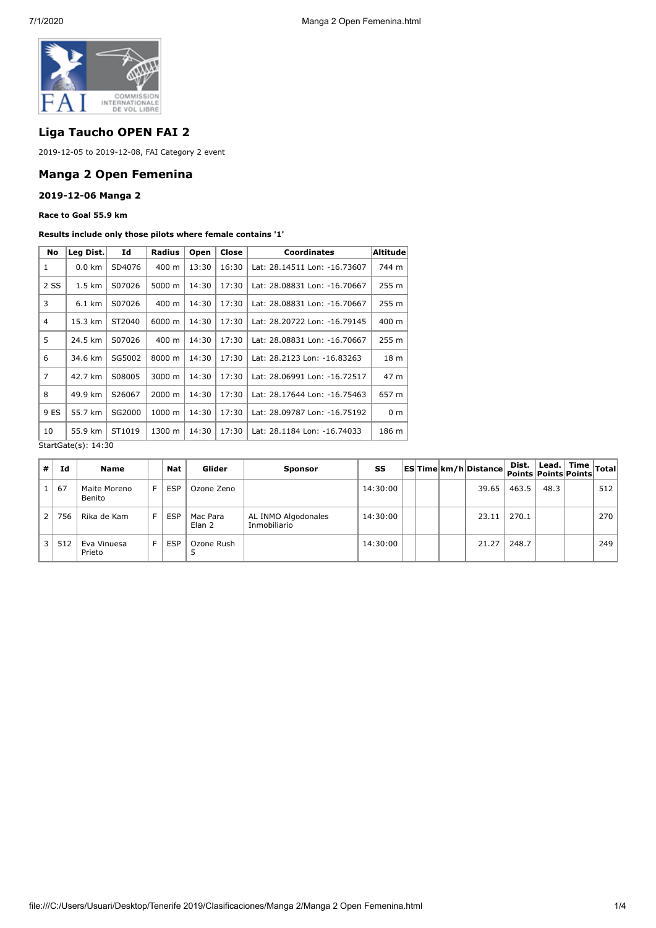

# **Liga Taucho OPEN FAI 2**

2019-12-05 to 2019-12-08, FAI Category 2 event

# **Manga 2 Open Femenina**

### **2019-12-06 Manga 2**

**Race to Goal 55.9 km**

#### **Results include only those pilots where female contains '1'**

| No             | Leg Dist.               | Id     | <b>Radius</b> | Open  | Close | Coordinates                  | Altitude         |  |  |
|----------------|-------------------------|--------|---------------|-------|-------|------------------------------|------------------|--|--|
| 1              | $0.0 \text{ km}$        | SD4076 | 400 m         | 13:30 | 16:30 | Lat: 28.14511 Lon: -16.73607 | 744 m            |  |  |
| 2 SS           | $1.5 \text{ km}$        | S07026 | 5000 m        | 14:30 | 17:30 | Lat: 28.08831 Lon: -16.70667 | 255 m            |  |  |
| 3              | 6.1 km                  | S07026 | 400 m         | 14:30 | 17:30 | Lat: 28.08831 Lon: -16.70667 | 255 <sub>m</sub> |  |  |
| 4              | 15.3 km                 | ST2040 | 6000 m        | 14:30 | 17:30 | Lat: 28.20722 Lon: -16.79145 | 400 m            |  |  |
| 5              | 24.5 km                 | S07026 | 400 m         | 14:30 | 17:30 | Lat: 28.08831 Lon: -16.70667 | 255 m            |  |  |
| 6              | 34.6 km                 | SG5002 | 8000 m        | 14:30 | 17:30 | Lat: 28.2123 Lon: -16.83263  | 18 m             |  |  |
| $\overline{7}$ | 42.7 km                 | S08005 | 3000 m        | 14:30 | 17:30 | Lat: 28.06991 Lon: -16.72517 | 47 m             |  |  |
| 8              | 49.9 km                 | S26067 | 2000 m        | 14:30 | 17:30 | Lat: 28.17644 Lon: -16.75463 | 657 m            |  |  |
| 9 ES           | 55.7 km                 | SG2000 | 1000 m        | 14:30 | 17:30 | Lat: 28.09787 Lon: -16.75192 | 0 <sub>m</sub>   |  |  |
| 10             | 55.9 km                 | ST1019 | 1300 m        | 14:30 | 17:30 | Lat: 28.1184 Lon: -16.74033  | 186 m            |  |  |
|                | StartGate $(s)$ : 14:30 |        |               |       |       |                              |                  |  |  |

StartGate(s): 14:30

| #              | Id  | <b>Name</b>            |    | Nat        | Glider             | <b>Sponsor</b>                      | SS       |  | <b>ESTime km/h Distance</b> | Dist. Lead. Time<br>Points Points Points Total |      |     |
|----------------|-----|------------------------|----|------------|--------------------|-------------------------------------|----------|--|-----------------------------|------------------------------------------------|------|-----|
|                | 67  | Maite Moreno<br>Benito | F. | <b>ESP</b> | Ozone Zeno         |                                     | 14:30:00 |  | 39.65                       | 463.5                                          | 48.3 | 512 |
|                | 756 | Rika de Kam            | F. | <b>ESP</b> | Mac Para<br>Elan 2 | AL INMO Algodonales<br>Inmobiliario | 14:30:00 |  | 23.11                       | 270.1                                          |      | 270 |
| 3 <sup>1</sup> | 512 | Eva Vinuesa<br>Prieto  | F. | <b>ESP</b> | Ozone Rush         |                                     | 14:30:00 |  | 21.27                       | 248.7                                          |      | 249 |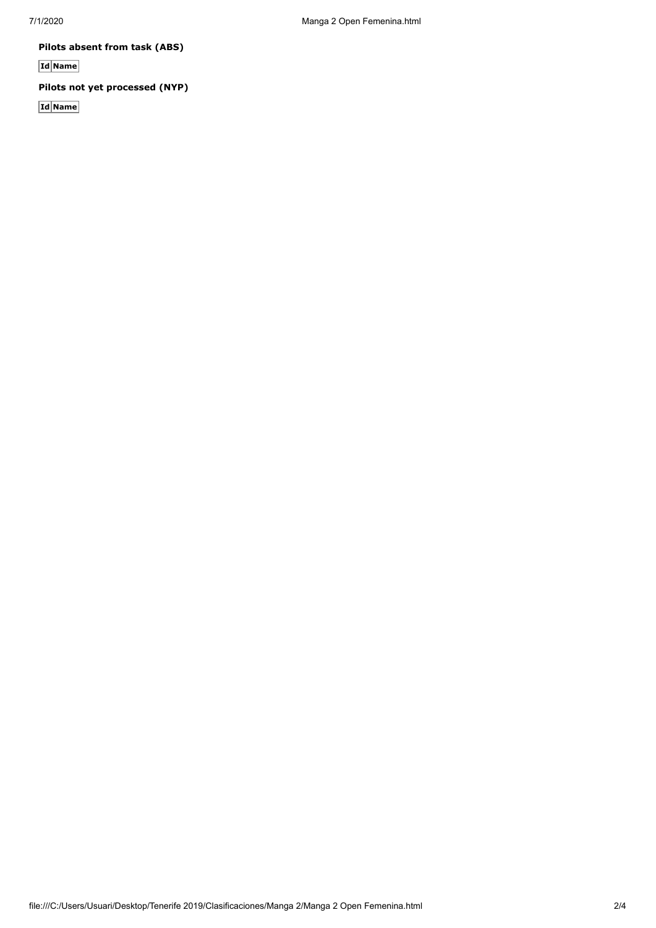**Pilots absent from task (ABS)**

**Id Name**

# **Pilots not yet processed (NYP)**

**Id Name**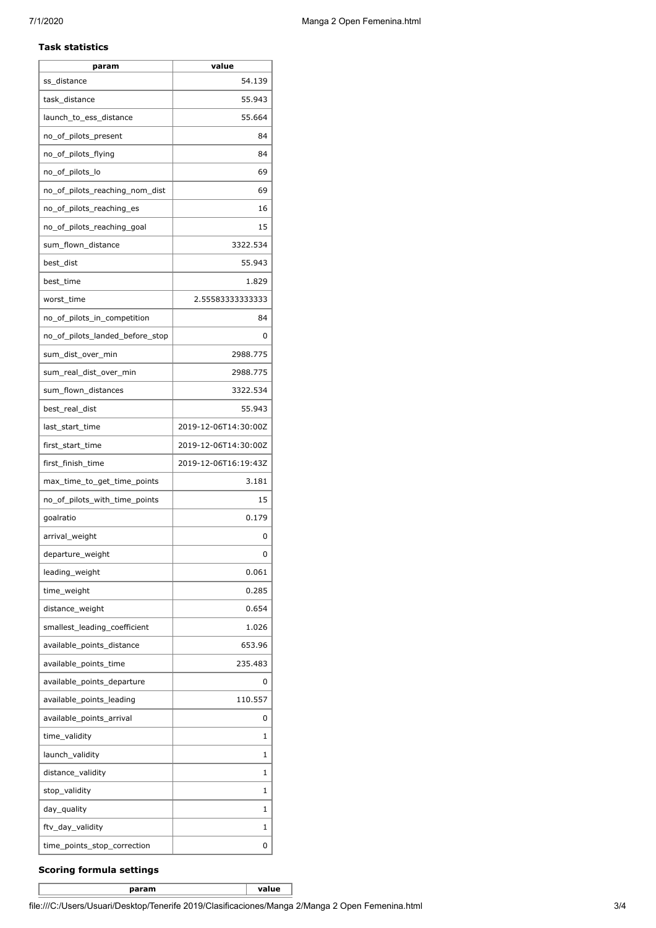#### **Task statistics**

| param                           | value                |
|---------------------------------|----------------------|
| ss_distance                     | 54.139               |
| task distance                   | 55.943               |
| launch_to_ess_distance          | 55.664               |
| no_of_pilots_present            | 84                   |
| no_of_pilots_flying             | 84                   |
| no_of_pilots_lo                 | 69                   |
| no_of_pilots_reaching_nom_dist  | 69                   |
| no of pilots reaching es        | 16                   |
| no_of_pilots_reaching_goal      | 15                   |
| sum_flown_distance              | 3322.534             |
| best_dist                       | 55.943               |
| best_time                       | 1.829                |
| worst_time                      | 2.55583333333333     |
| no_of_pilots_in_competition     | 84                   |
| no_of_pilots_landed_before_stop | 0                    |
| sum_dist_over_min               | 2988.775             |
| sum_real_dist_over_min          | 2988.775             |
| sum_flown_distances             | 3322.534             |
| best_real_dist                  | 55.943               |
| last_start_time                 | 2019-12-06T14:30:00Z |
| first_start_time                | 2019-12-06T14:30:00Z |
| first_finish_time               | 2019-12-06T16:19:43Z |
| max_time_to_get_time_points     | 3.181                |
| no of pilots with time points   | 15                   |
| goalratio                       | 0.179                |
| arrival_weight                  | 0                    |
| departure_weight                | 0                    |
| leading_weight                  | 0.061                |
| time_weight                     | 0.285                |
| distance_weight                 | 0.654                |
| smallest_leading_coefficient    | 1.026                |
| available_points_distance       | 653.96               |
| available_points_time           | 235.483              |
| available_points_departure      | 0                    |
| available_points_leading        | 110.557              |
| available_points_arrival        | 0                    |
| time_validity                   | 1                    |
| launch_validity                 | 1                    |
| distance_validity               | 1                    |
| stop_validity                   | 1                    |
| day_quality                     | 1                    |
| ftv_day_validity                | 1                    |
| time_points_stop_correction     | 0                    |
|                                 |                      |

### **Scoring formula settings**

**param value**